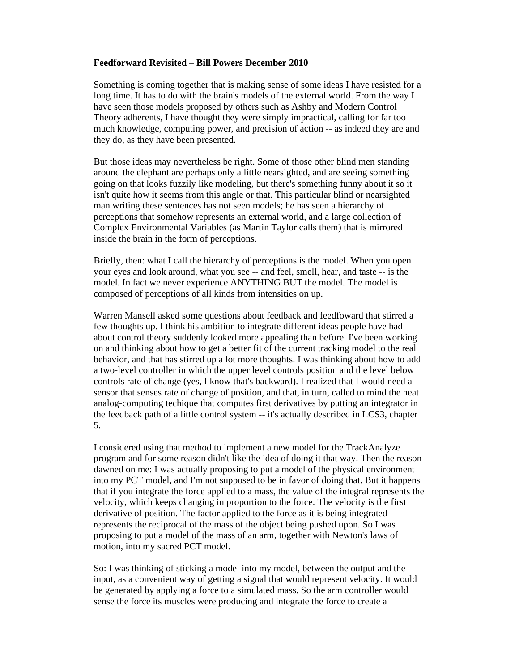## **Feedforward Revisited – Bill Powers December 2010**

Something is coming together that is making sense of some ideas I have resisted for a long time. It has to do with the brain's models of the external world. From the way I have seen those models proposed by others such as Ashby and Modern Control Theory adherents, I have thought they were simply impractical, calling for far too much knowledge, computing power, and precision of action -- as indeed they are and they do, as they have been presented.

But those ideas may nevertheless be right. Some of those other blind men standing around the elephant are perhaps only a little nearsighted, and are seeing something going on that looks fuzzily like modeling, but there's something funny about it so it isn't quite how it seems from this angle or that. This particular blind or nearsighted man writing these sentences has not seen models; he has seen a hierarchy of perceptions that somehow represents an external world, and a large collection of Complex Environmental Variables (as Martin Taylor calls them) that is mirrored inside the brain in the form of perceptions.

Briefly, then: what I call the hierarchy of perceptions is the model. When you open your eyes and look around, what you see -- and feel, smell, hear, and taste -- is the model. In fact we never experience ANYTHING BUT the model. The model is composed of perceptions of all kinds from intensities on up.

Warren Mansell asked some questions about feedback and feedfoward that stirred a few thoughts up. I think his ambition to integrate different ideas people have had about control theory suddenly looked more appealing than before. I've been working on and thinking about how to get a better fit of the current tracking model to the real behavior, and that has stirred up a lot more thoughts. I was thinking about how to add a two-level controller in which the upper level controls position and the level below controls rate of change (yes, I know that's backward). I realized that I would need a sensor that senses rate of change of position, and that, in turn, called to mind the neat analog-computing techique that computes first derivatives by putting an integrator in the feedback path of a little control system -- it's actually described in LCS3, chapter 5.

I considered using that method to implement a new model for the TrackAnalyze program and for some reason didn't like the idea of doing it that way. Then the reason dawned on me: I was actually proposing to put a model of the physical environment into my PCT model, and I'm not supposed to be in favor of doing that. But it happens that if you integrate the force applied to a mass, the value of the integral represents the velocity, which keeps changing in proportion to the force. The velocity is the first derivative of position. The factor applied to the force as it is being integrated represents the reciprocal of the mass of the object being pushed upon. So I was proposing to put a model of the mass of an arm, together with Newton's laws of motion, into my sacred PCT model.

So: I was thinking of sticking a model into my model, between the output and the input, as a convenient way of getting a signal that would represent velocity. It would be generated by applying a force to a simulated mass. So the arm controller would sense the force its muscles were producing and integrate the force to create a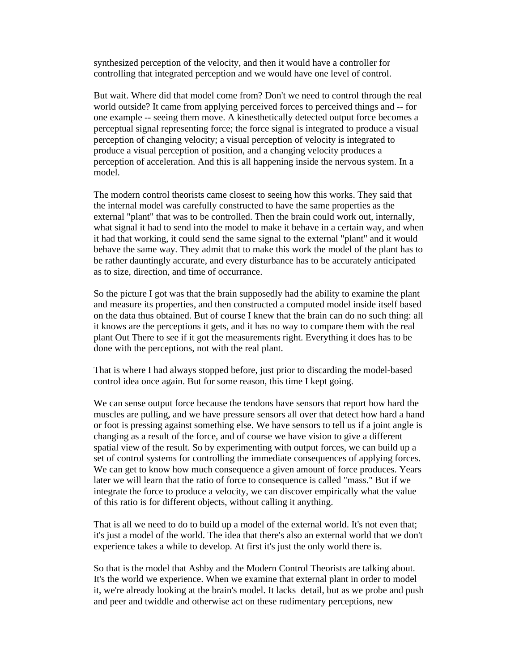synthesized perception of the velocity, and then it would have a controller for controlling that integrated perception and we would have one level of control.

But wait. Where did that model come from? Don't we need to control through the real world outside? It came from applying perceived forces to perceived things and -- for one example -- seeing them move. A kinesthetically detected output force becomes a perceptual signal representing force; the force signal is integrated to produce a visual perception of changing velocity; a visual perception of velocity is integrated to produce a visual perception of position, and a changing velocity produces a perception of acceleration. And this is all happening inside the nervous system. In a model.

The modern control theorists came closest to seeing how this works. They said that the internal model was carefully constructed to have the same properties as the external "plant" that was to be controlled. Then the brain could work out, internally, what signal it had to send into the model to make it behave in a certain way, and when it had that working, it could send the same signal to the external "plant" and it would behave the same way. They admit that to make this work the model of the plant has to be rather dauntingly accurate, and every disturbance has to be accurately anticipated as to size, direction, and time of occurrance.

So the picture I got was that the brain supposedly had the ability to examine the plant and measure its properties, and then constructed a computed model inside itself based on the data thus obtained. But of course I knew that the brain can do no such thing: all it knows are the perceptions it gets, and it has no way to compare them with the real plant Out There to see if it got the measurements right. Everything it does has to be done with the perceptions, not with the real plant.

That is where I had always stopped before, just prior to discarding the model-based control idea once again. But for some reason, this time I kept going.

We can sense output force because the tendons have sensors that report how hard the muscles are pulling, and we have pressure sensors all over that detect how hard a hand or foot is pressing against something else. We have sensors to tell us if a joint angle is changing as a result of the force, and of course we have vision to give a different spatial view of the result. So by experimenting with output forces, we can build up a set of control systems for controlling the immediate consequences of applying forces. We can get to know how much consequence a given amount of force produces. Years later we will learn that the ratio of force to consequence is called "mass." But if we integrate the force to produce a velocity, we can discover empirically what the value of this ratio is for different objects, without calling it anything.

That is all we need to do to build up a model of the external world. It's not even that; it's just a model of the world. The idea that there's also an external world that we don't experience takes a while to develop. At first it's just the only world there is.

So that is the model that Ashby and the Modern Control Theorists are talking about. It's the world we experience. When we examine that external plant in order to model it, we're already looking at the brain's model. It lacks detail, but as we probe and push and peer and twiddle and otherwise act on these rudimentary perceptions, new